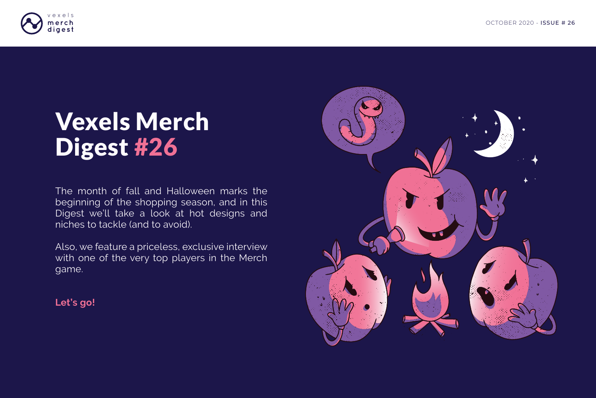The month of fall and Halloween marks the beginning of the shopping season, and in this Digest we'll take a look at hot designs and niches to tackle (and to avoid).

Also, we feature a priceless, exclusive interview with one of the very top players in the Merch game.



**Let's go!**

## Vexels Merch Digest #26

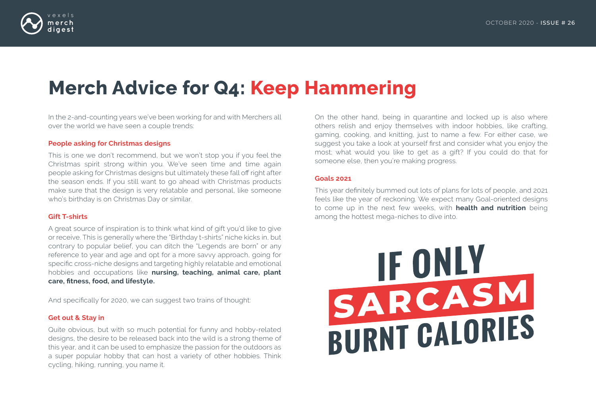

# IF ONLY SARCASM<br>BURNT CALORIES

## **Merch Advice for Q4: Keep Hammering**

In the 2-and-counting years we've been working for and with Merchers all over the world we have seen a couple trends:

#### **People asking for Christmas designs**

This is one we don't recommend, but we won't stop you if you feel the Christmas spirit strong within you. We've seen time and time again people asking for Christmas designs but ultimately these fall off right after the season ends. If you still want to go ahead with Christmas products make sure that the design is very relatable and personal, like someone who's birthday is on Christmas Day or similar.

#### **Gift T-shirts**

A great source of inspiration is to think what kind of gift you'd like to give or receive. This is generally where the "Birthday t-shirts" niche kicks in, but contrary to popular belief, you can ditch the "Legends are born" or any reference to year and age and opt for a more savvy approach, going for specific cross-niche designs and targeting highly relatable and emotional hobbies and occupations like **nursing, teaching, animal care, plant care, fitness, food, and lifestyle.**

And specifically for 2020, we can suggest two trains of thought:

#### **Get out & Stay in**

Quite obvious, but with so much potential for funny and hobby-related designs, the desire to be released back into the wild is a strong theme of this year, and it can be used to emphasize the passion for the outdoors as a super popular hobby that can host a variety of other hobbies. Think cycling, hiking, running, you name it.

On the other hand, being in quarantine and locked up is also where others relish and enjoy themselves with indoor hobbies, like crafting, gaming, cooking, and knitting, just to name a few. For either case, we suggest you take a look at yourself first and consider what you enjoy the most; what would you like to get as a gift? If you could do that for someone else, then you're making progress.

#### **Goals 2021**

This year definitely bummed out lots of plans for lots of people, and 2021 feels like the year of reckoning. We expect many Goal-oriented designs to come up in the next few weeks, with **health and nutrition** being among the hottest mega-niches to dive into.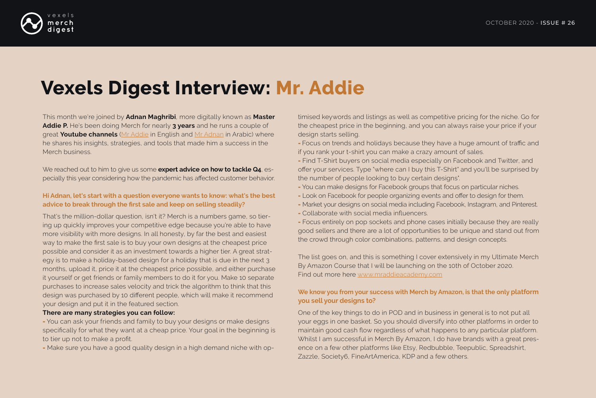

## **Vexels Digest Interview: Mr. Addie**

This month we're joined by **Adnan Maghribi**, more digitally known as **Master Addie P.** He's been doing Merch for nearly **3 years** and he runs a couple of great **Youtube channels** [\(Mr Addie i](https://www.youtube.com/channel/UCdb2f_ea2C7SJsOXtLf2A6Q)n English and [Mr Adnan](https://www.youtube.com/channel/UCrVAIpnjKVj6iYG2p8I6XDQ/videos) in Arabic) where he shares his insights, strategies, and tools that made him a success in the Merch business.

We reached out to him to give us some **expert advice on how to tackle Q4**, especially this year considering how the pandemic has affected customer behavior.

#### **Hi Adnan, let's start with a question everyone wants to know: what's the best advice to break through the first sale and keep on selling steadily?**

That's the million-dollar question, isn't it? Merch is a numbers game, so tiering up quickly improves your competitive edge because you're able to have more visibility with more designs. In all honesty, by far the best and easiest way to make the first sale is to buy your own designs at the cheapest price possible and consider it as an investment towards a higher tier. A great strategy is to make a holiday-based design for a holiday that is due in the next 3 months, upload it, price it at the cheapest price possible, and either purchase it yourself or get friends or family members to do it for you. Make 10 separate purchases to increase sales velocity and trick the algorithm to think that this design was purchased by 10 different people, which will make it recommend your design and put it in the featured section.

- Focus entirely on pop sockets and phone cases initially because they are really good sellers and there are a lot of opportunities to be unique and stand out from the crowd through color combinations, patterns, and design concepts.

#### **There are many strategies you can follow:**

- You can ask your friends and family to buy your designs or make designs specifically for what they want at a cheap price. Your goal in the beginning is to tier up not to make a profit.

- Make sure you have a good quality design in a high demand niche with op-

timised keywords and listings as well as competitive pricing for the niche. Go for the cheapest price in the beginning, and you can always raise your price if your design starts selling.

- Focus on trends and holidays because they have a huge amount of traffic and if you rank your t-shirt you can make a crazy amount of sales.
- Find T-Shirt buyers on social media especially on Facebook and Twitter, and offer your services. Type "where can I buy this T-Shirt" and you'll be surprised by the number of people looking to buy certain designs".
- You can make designs for Facebook groups that focus on particular niches.
- Look on Facebook for people organizing events and offer to design for them.
- Market your designs on social media including Facebook, Instagram, and Pinterest. - Collaborate with social media influencers.
- 

The list goes on, and this is something I cover extensively in my Ultimate Merch By Amazon Course that I will be launching on the 10th of October 2020. Find out more here [www.mraddieacademy.com](http://www.mraddieacademy.com/)

### **We know you from your success with Merch by Amazon, is that the only platform you sell your designs to?**

One of the key things to do in POD and in business in general is to not put all your eggs in one basket. So you should diversify into other platforms in order to maintain good cash flow regardless of what happens to any particular platform. Whilst I am successful in Merch By Amazon, I do have brands with a great presence on a few other platforms like Etsy, Redbubble, Teepublic, Spreadshirt, Zazzle, Society6, FineArtAmerica, KDP and a few others.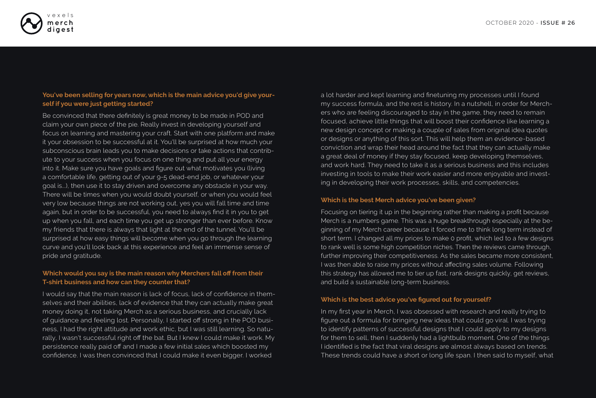

#### **You've been selling for years now, which is the main advice you'd give yourself if you were just getting started?**

Be convinced that there definitely is great money to be made in POD and claim your own piece of the pie. Really invest in developing yourself and focus on learning and mastering your craft. Start with one platform and make it your obsession to be successful at it. You'll be surprised at how much your subconscious brain leads you to make decisions or take actions that contribute to your success when you focus on one thing and put all your energy into it. Make sure you have goals and figure out what motivates you (living a comfortable life, getting out of your 9-5 dead-end job, or whatever your goal is...), then use it to stay driven and overcome any obstacle in your way. There will be times when you would doubt yourself, or when you would feel very low because things are not working out, yes you will fall time and time again, but in order to be successful, you need to always find it in you to get up when you fall, and each time you get up stronger than ever before. Know my friends that there is always that light at the end of the tunnel. You'll be surprised at how easy things will become when you go through the learning curve and you'll look back at this experience and feel an immense sense of pride and gratitude.

#### **Which would you say is the main reason why Merchers fall off from their T-shirt business and how can they counter that?**

I would say that the main reason is lack of focus, lack of confidence in themselves and their abilities, lack of evidence that they can actually make great money doing it, not taking Merch as a serious business, and crucially lack of guidance and feeling lost. Personally, I started off strong in the POD business, I had the right attitude and work ethic, but I was still learning. So naturally, I wasn't successful right off the bat. But I knew I could make it work. My persistence really paid off and I made a few initial sales which boosted my confidence. I was then convinced that I could make it even bigger. I worked

a lot harder and kept learning and finetuning my processes until I found my success formula, and the rest is history. In a nutshell, in order for Merchers who are feeling discouraged to stay in the game, they need to remain focused, achieve little things that will boost their confidence like learning a new design concept or making a couple of sales from original idea quotes or designs or anything of this sort. This will help them an evidence-based conviction and wrap their head around the fact that they can actually make a great deal of money if they stay focused, keep developing themselves, and work hard. They need to take it as a serious business and this includes investing in tools to make their work easier and more enjoyable and investing in developing their work processes, skills, and competencies.

#### **Which is the best Merch advice you've been given?**

Focusing on tiering it up in the beginning rather than making a profit because Merch is a numbers game. This was a huge breakthrough especially at the beginning of my Merch career because it forced me to think long term instead of short term. I changed all my prices to make 0 profit, which led to a few designs to rank well is some high competition niches. Then the reviews came through, further improving their competitiveness. As the sales became more consistent, I was then able to raise my prices without affecting sales volume. Following this strategy has allowed me to tier up fast, rank designs quickly, get reviews, and build a sustainable long-term business.

### **Which is the best advice you've figured out for yourself?**

In my first year in Merch, I was obsessed with research and really trying to figure out a formula for bringing new ideas that could go viral. I was trying to identify patterns of successful designs that I could apply to my designs for them to sell, then I suddenly had a lightbulb moment. One of the things I identified is the fact that viral designs are almost always based on trends. These trends could have a short or long life span. I then said to myself, what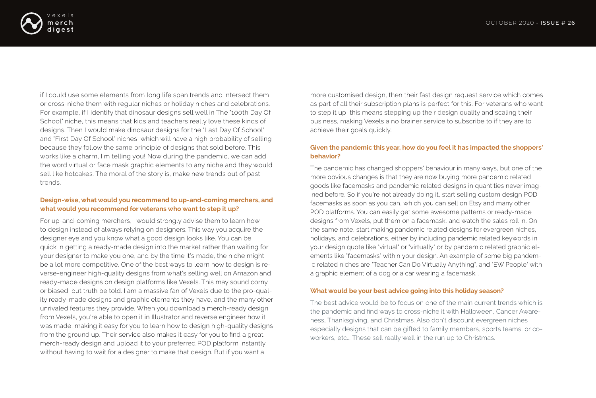

if I could use some elements from long life span trends and intersect them or cross-niche them with regular niches or holiday niches and celebrations. For example, if I identify that dinosaur designs sell well in The "100th Day Of School" niche, this means that kids and teachers really love these kinds of designs. Then I would make dinosaur designs for the "Last Day Of School" and "First Day Of School" niches, which will have a high probability of selling because they follow the same principle of designs that sold before. This works like a charm, I'm telling you! Now during the pandemic, we can add the word virtual or face mask graphic elements to any niche and they would sell like hotcakes. The moral of the story is, make new trends out of past trends.

#### **Design-wise, what would you recommend to up-and-coming merchers, and what would you recommend for veterans who want to step it up?**

For up-and-coming merchers, I would strongly advise them to learn how to design instead of always relying on designers. This way you acquire the designer eye and you know what a good design looks like. You can be quick in getting a ready-made design into the market rather than waiting for your designer to make you one, and by the time it's made, the niche might be a lot more competitive. One of the best ways to learn how to design is reverse-engineer high-quality designs from what's selling well on Amazon and ready-made designs on design platforms like Vexels. This may sound corny or biased, but truth be told. I am a massive fan of Vexels due to the pro-quality ready-made designs and graphic elements they have, and the many other unrivaled features they provide. When you download a merch-ready design from Vexels, you're able to open it in Illustrator and reverse engineer how it was made, making it easy for you to learn how to design high-quality designs from the ground up. Their service also makes it easy for you to find a great merch-ready design and upload it to your preferred POD platform instantly without having to wait for a designer to make that design. But if you want a

more customised design, then their fast design request service which comes as part of all their subscription plans is perfect for this. For veterans who want to step it up, this means stepping up their design quality and scaling their business, making Vexels a no brainer service to subscribe to if they are to achieve their goals quickly.

#### **Given the pandemic this year, how do you feel it has impacted the shoppers'**

## **behavior?**

The pandemic has changed shoppers' behaviour in many ways, but one of the more obvious changes is that they are now buying more pandemic related goods like facemasks and pandemic related designs in quantities never imagined before. So if you're not already doing it, start selling custom design POD facemasks as soon as you can, which you can sell on Etsy and many other POD platforms. You can easily get some awesome patterns or ready-made designs from Vexels, put them on a facemask, and watch the sales roll in. On the same note, start making pandemic related designs for evergreen niches, holidays, and celebrations, either by including pandemic related keywords in your design quote like "virtual" or "virtually" or by pandemic related graphic elements like "facemasks" within your design. An example of some big pandemic related niches are "Teacher Can Do Virtually Anything", and "EW People" with a graphic element of a dog or a car wearing a facemask...

#### **What would be your best advice going into this holiday season?**

The best advice would be to focus on one of the main current trends which is the pandemic and find ways to cross-niche it with Halloween, Cancer Awareness, Thanksgiving, and Christmas. Also don't discount evergreen niches especially designs that can be gifted to family members, sports teams, or coworkers, etc... These sell really well in the run up to Christmas.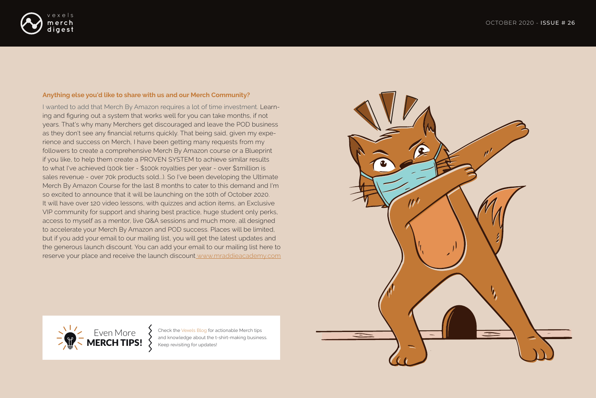I wanted to add that Merch By Amazon requires a lot of time investment. Learning and figuring out a system that works well for you can take months, if not years. That's why many Merchers get discouraged and leave the POD business as they don't see any financial returns quickly. That being said, given my experience and success on Merch, I have been getting many requests from my followers to create a comprehensive Merch By Amazon course or a Blueprint if you like, to help them create a PROVEN SYSTEM to achieve similar results to what I've achieved (100k tier - \$100k royalties per year - over \$1million is sales revenue - over 70k products sold...). So I've been developing the Ultimate Merch By Amazon Course for the last 8 months to cater to this demand and I'm so excited to announce that it will be launching on the 10th of October 2020. It will have over 120 video lessons, with quizzes and action items, an Exclusive VIP community for support and sharing best practice, huge student only perks, access to myself as a mentor, live Q&A sessions and much more, all designed to accelerate your Merch By Amazon and POD success. Places will be limited, but if you add your email to our mailing list, you will get the latest updates and the generous launch discount. You can add your email to our mailing list here to reserve your place and receive the launch discoun[t www.mraddieacademy.com](http://www.mraddieacademy.com/)



Check the [Vexels Blog](https://www.vexels.com/blog/) for actionable Merch tips and knowledge about the t-shirt-making business.<br>Keep revisiting for updates!





#### **Anything else you'd like to share with us and our Merch Community?**